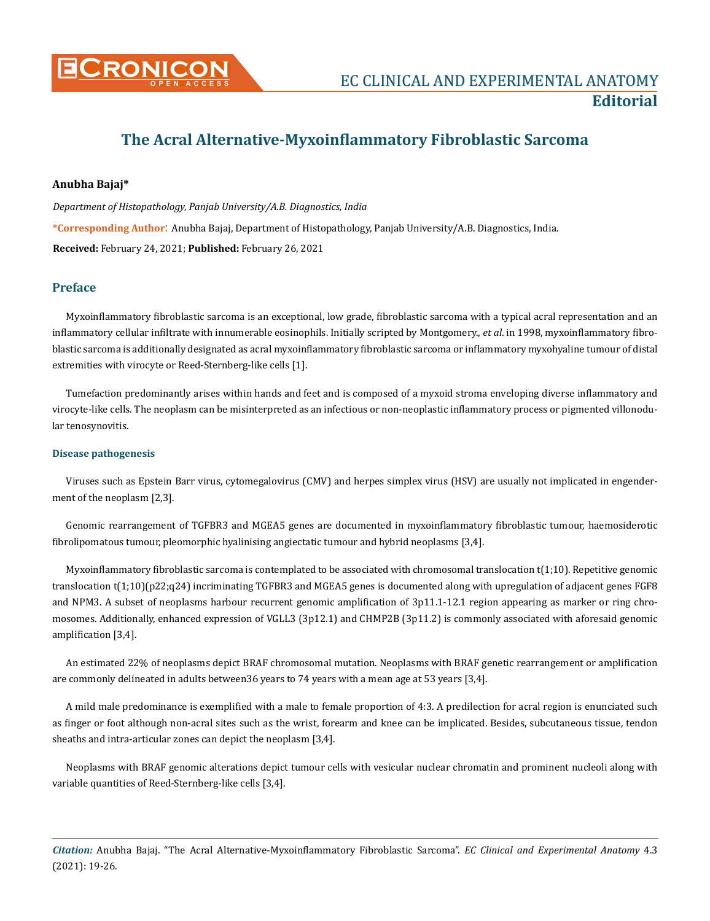

# **The Acral Alternative-Myxoinflammatory Fibroblastic Sarcoma**

# **Anubha Bajaj\***

*Department of Histopathology, Panjab University/A.B. Diagnostics, India* **\*Corresponding Author**: Anubha Bajaj, Department of Histopathology, Panjab University/A.B. Diagnostics, India. **Received:** February 24, 2021; **Published:** February 26, 2021

## **Preface**

Myxoinflammatory fibroblastic sarcoma is an exceptional, low grade, fibroblastic sarcoma with a typical acral representation and an inflammatory cellular infiltrate with innumerable eosinophils. Initially scripted by Montgomery., *et al*. in 1998, myxoinflammatory fibroblastic sarcoma is additionally designated as acral myxoinflammatory fibroblastic sarcoma or inflammatory myxohyaline tumour of distal extremities with virocyte or Reed-Sternberg-like cells [1].

Tumefaction predominantly arises within hands and feet and is composed of a myxoid stroma enveloping diverse inflammatory and virocyte-like cells. The neoplasm can be misinterpreted as an infectious or non-neoplastic inflammatory process or pigmented villonodular tenosynovitis.

#### **Disease pathogenesis**

Viruses such as Epstein Barr virus, cytomegalovirus (CMV) and herpes simplex virus (HSV) are usually not implicated in engenderment of the neoplasm [2,3].

Genomic rearrangement of TGFBR3 and MGEA5 genes are documented in myxoinflammatory fibroblastic tumour, haemosiderotic fibrolipomatous tumour, pleomorphic hyalinising angiectatic tumour and hybrid neoplasms [3,4].

Myxoinflammatory fibroblastic sarcoma is contemplated to be associated with chromosomal translocation t(1;10). Repetitive genomic translocation t(1;10)(p22;q24) incriminating TGFBR3 and MGEA5 genes is documented along with upregulation of adjacent genes FGF8 and NPM3. A subset of neoplasms harbour recurrent genomic amplification of 3p11.1-12.1 region appearing as marker or ring chromosomes. Additionally, enhanced expression of VGLL3 (3p12.1) and CHMP2B (3p11.2) is commonly associated with aforesaid genomic amplification [3,4].

An estimated 22% of neoplasms depict BRAF chromosomal mutation. Neoplasms with BRAF genetic rearrangement or amplification are commonly delineated in adults between36 years to 74 years with a mean age at 53 years [3,4].

A mild male predominance is exemplified with a male to female proportion of 4:3. A predilection for acral region is enunciated such as finger or foot although non-acral sites such as the wrist, forearm and knee can be implicated. Besides, subcutaneous tissue, tendon sheaths and intra-articular zones can depict the neoplasm [3,4].

Neoplasms with BRAF genomic alterations depict tumour cells with vesicular nuclear chromatin and prominent nucleoli along with variable quantities of Reed-Sternberg-like cells [3,4].

*Citation:* Anubha Bajaj. "The Acral Alternative-Myxoinflammatory Fibroblastic Sarcoma". *EC Clinical and Experimental Anatomy* 4.3 (2021): 19-26.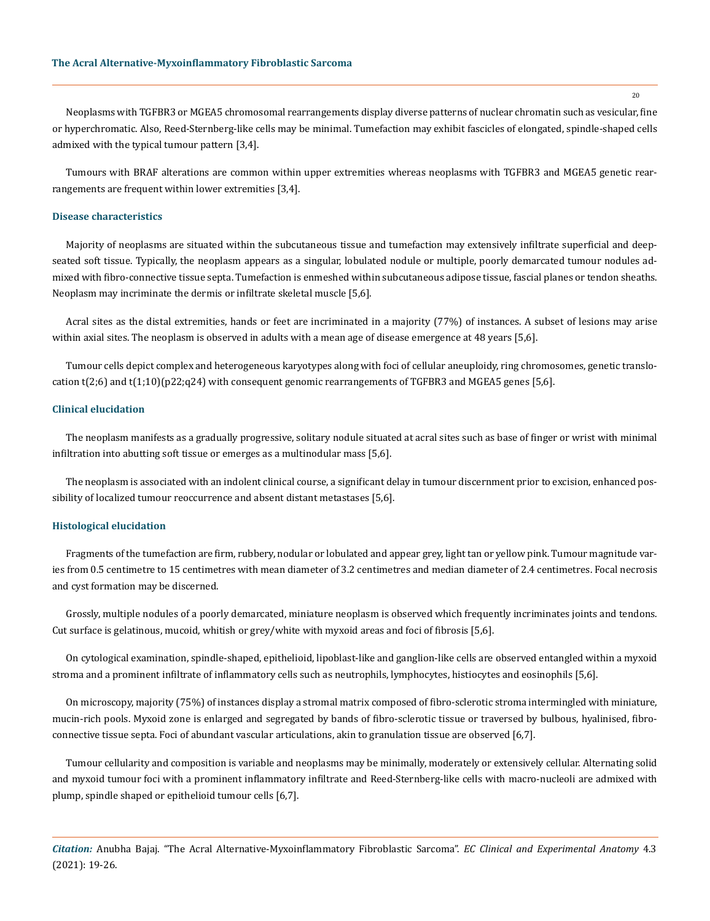Neoplasms with TGFBR3 or MGEA5 chromosomal rearrangements display diverse patterns of nuclear chromatin such as vesicular, fine or hyperchromatic. Also, Reed-Sternberg-like cells may be minimal. Tumefaction may exhibit fascicles of elongated, spindle-shaped cells admixed with the typical tumour pattern [3,4].

Tumours with BRAF alterations are common within upper extremities whereas neoplasms with TGFBR3 and MGEA5 genetic rearrangements are frequent within lower extremities [3,4].

#### **Disease characteristics**

Majority of neoplasms are situated within the subcutaneous tissue and tumefaction may extensively infiltrate superficial and deepseated soft tissue. Typically, the neoplasm appears as a singular, lobulated nodule or multiple, poorly demarcated tumour nodules admixed with fibro-connective tissue septa. Tumefaction is enmeshed within subcutaneous adipose tissue, fascial planes or tendon sheaths. Neoplasm may incriminate the dermis or infiltrate skeletal muscle [5,6].

Acral sites as the distal extremities, hands or feet are incriminated in a majority (77%) of instances. A subset of lesions may arise within axial sites. The neoplasm is observed in adults with a mean age of disease emergence at 48 years [5,6].

Tumour cells depict complex and heterogeneous karyotypes along with foci of cellular aneuploidy, ring chromosomes, genetic translocation t(2;6) and t(1;10)(p22;q24) with consequent genomic rearrangements of TGFBR3 and MGEA5 genes [5,6].

### **Clinical elucidation**

The neoplasm manifests as a gradually progressive, solitary nodule situated at acral sites such as base of finger or wrist with minimal infiltration into abutting soft tissue or emerges as a multinodular mass [5,6].

The neoplasm is associated with an indolent clinical course, a significant delay in tumour discernment prior to excision, enhanced possibility of localized tumour reoccurrence and absent distant metastases [5,6].

#### **Histological elucidation**

Fragments of the tumefaction are firm, rubbery, nodular or lobulated and appear grey, light tan or yellow pink. Tumour magnitude varies from 0.5 centimetre to 15 centimetres with mean diameter of 3.2 centimetres and median diameter of 2.4 centimetres. Focal necrosis and cyst formation may be discerned.

Grossly, multiple nodules of a poorly demarcated, miniature neoplasm is observed which frequently incriminates joints and tendons. Cut surface is gelatinous, mucoid, whitish or grey/white with myxoid areas and foci of fibrosis [5,6].

On cytological examination, spindle-shaped, epithelioid, lipoblast-like and ganglion-like cells are observed entangled within a myxoid stroma and a prominent infiltrate of inflammatory cells such as neutrophils, lymphocytes, histiocytes and eosinophils [5,6].

On microscopy, majority (75%) of instances display a stromal matrix composed of fibro-sclerotic stroma intermingled with miniature, mucin-rich pools. Myxoid zone is enlarged and segregated by bands of fibro-sclerotic tissue or traversed by bulbous, hyalinised, fibroconnective tissue septa. Foci of abundant vascular articulations, akin to granulation tissue are observed [6,7].

Tumour cellularity and composition is variable and neoplasms may be minimally, moderately or extensively cellular. Alternating solid and myxoid tumour foci with a prominent inflammatory infiltrate and Reed-Sternberg-like cells with macro-nucleoli are admixed with plump, spindle shaped or epithelioid tumour cells [6,7].

*Citation:* Anubha Bajaj. "The Acral Alternative-Myxoinflammatory Fibroblastic Sarcoma". *EC Clinical and Experimental Anatomy* 4.3 (2021): 19-26.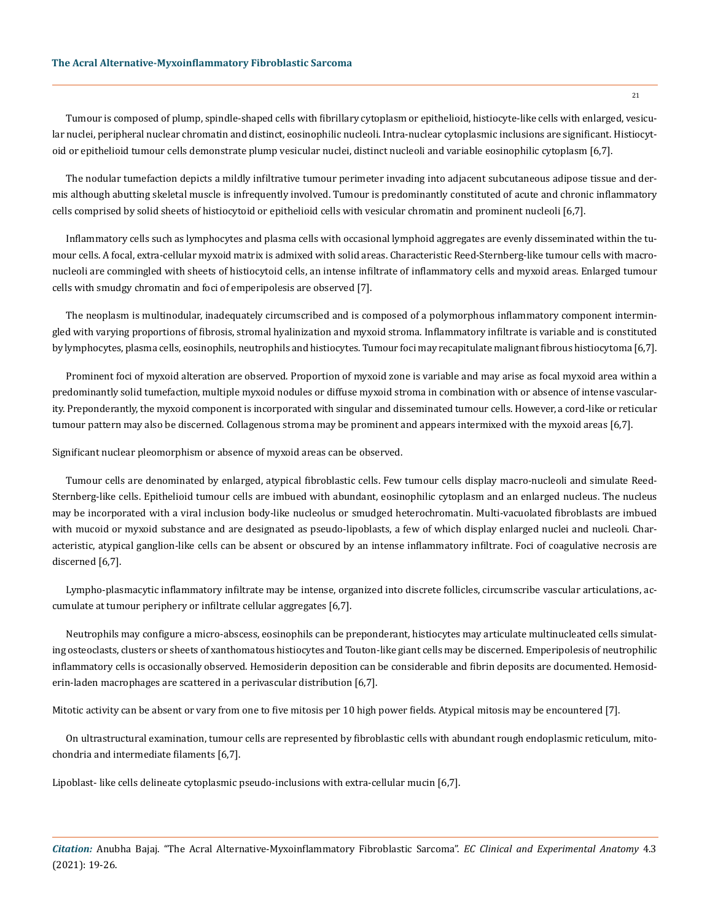#### **The Acral Alternative-Myxoinflammatory Fibroblastic Sarcoma**

Tumour is composed of plump, spindle-shaped cells with fibrillary cytoplasm or epithelioid, histiocyte-like cells with enlarged, vesicular nuclei, peripheral nuclear chromatin and distinct, eosinophilic nucleoli. Intra-nuclear cytoplasmic inclusions are significant. Histiocytoid or epithelioid tumour cells demonstrate plump vesicular nuclei, distinct nucleoli and variable eosinophilic cytoplasm [6,7].

The nodular tumefaction depicts a mildly infiltrative tumour perimeter invading into adjacent subcutaneous adipose tissue and dermis although abutting skeletal muscle is infrequently involved. Tumour is predominantly constituted of acute and chronic inflammatory cells comprised by solid sheets of histiocytoid or epithelioid cells with vesicular chromatin and prominent nucleoli [6,7].

Inflammatory cells such as lymphocytes and plasma cells with occasional lymphoid aggregates are evenly disseminated within the tumour cells. A focal, extra-cellular myxoid matrix is admixed with solid areas. Characteristic Reed-Sternberg-like tumour cells with macronucleoli are commingled with sheets of histiocytoid cells, an intense infiltrate of inflammatory cells and myxoid areas. Enlarged tumour cells with smudgy chromatin and foci of emperipolesis are observed [7].

The neoplasm is multinodular, inadequately circumscribed and is composed of a polymorphous inflammatory component intermingled with varying proportions of fibrosis, stromal hyalinization and myxoid stroma. Inflammatory infiltrate is variable and is constituted by lymphocytes, plasma cells, eosinophils, neutrophils and histiocytes. Tumour foci may recapitulate malignant fibrous histiocytoma [6,7].

Prominent foci of myxoid alteration are observed. Proportion of myxoid zone is variable and may arise as focal myxoid area within a predominantly solid tumefaction, multiple myxoid nodules or diffuse myxoid stroma in combination with or absence of intense vascularity. Preponderantly, the myxoid component is incorporated with singular and disseminated tumour cells. However, a cord-like or reticular tumour pattern may also be discerned. Collagenous stroma may be prominent and appears intermixed with the myxoid areas [6,7].

Significant nuclear pleomorphism or absence of myxoid areas can be observed.

Tumour cells are denominated by enlarged, atypical fibroblastic cells. Few tumour cells display macro-nucleoli and simulate Reed-Sternberg-like cells. Epithelioid tumour cells are imbued with abundant, eosinophilic cytoplasm and an enlarged nucleus. The nucleus may be incorporated with a viral inclusion body-like nucleolus or smudged heterochromatin. Multi-vacuolated fibroblasts are imbued with mucoid or myxoid substance and are designated as pseudo-lipoblasts, a few of which display enlarged nuclei and nucleoli. Characteristic, atypical ganglion-like cells can be absent or obscured by an intense inflammatory infiltrate. Foci of coagulative necrosis are discerned [6,7].

Lympho-plasmacytic inflammatory infiltrate may be intense, organized into discrete follicles, circumscribe vascular articulations, accumulate at tumour periphery or infiltrate cellular aggregates [6,7].

Neutrophils may configure a micro-abscess, eosinophils can be preponderant, histiocytes may articulate multinucleated cells simulating osteoclasts, clusters or sheets of xanthomatous histiocytes and Touton-like giant cells may be discerned. Emperipolesis of neutrophilic inflammatory cells is occasionally observed. Hemosiderin deposition can be considerable and fibrin deposits are documented. Hemosiderin-laden macrophages are scattered in a perivascular distribution [6,7].

Mitotic activity can be absent or vary from one to five mitosis per 10 high power fields. Atypical mitosis may be encountered [7].

On ultrastructural examination, tumour cells are represented by fibroblastic cells with abundant rough endoplasmic reticulum, mitochondria and intermediate filaments [6,7].

Lipoblast- like cells delineate cytoplasmic pseudo-inclusions with extra-cellular mucin [6,7].

*Citation:* Anubha Bajaj. "The Acral Alternative-Myxoinflammatory Fibroblastic Sarcoma". *EC Clinical and Experimental Anatomy* 4.3 (2021): 19-26.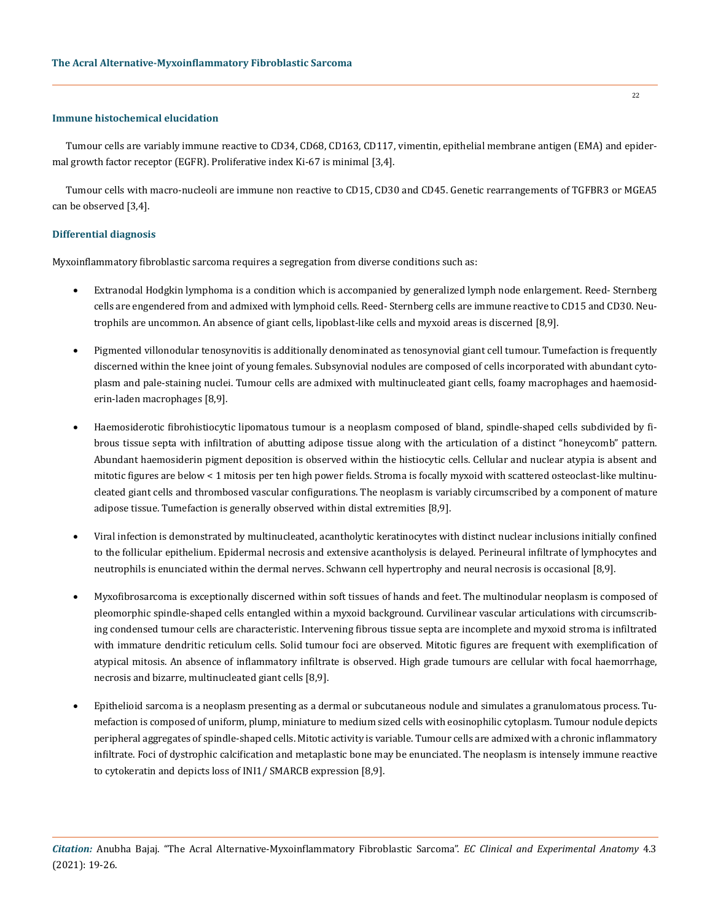## **Immune histochemical elucidation**

Tumour cells are variably immune reactive to CD34, CD68, CD163, CD117, vimentin, epithelial membrane antigen (EMA) and epidermal growth factor receptor (EGFR). Proliferative index Ki-67 is minimal [3,4].

Tumour cells with macro-nucleoli are immune non reactive to CD15, CD30 and CD45. Genetic rearrangements of TGFBR3 or MGEA5 can be observed [3,4].

## **Differential diagnosis**

Myxoinflammatory fibroblastic sarcoma requires a segregation from diverse conditions such as:

- Extranodal Hodgkin lymphoma is a condition which is accompanied by generalized lymph node enlargement. Reed-Sternberg cells are engendered from and admixed with lymphoid cells. Reed- Sternberg cells are immune reactive to CD15 and CD30. Neutrophils are uncommon. An absence of giant cells, lipoblast-like cells and myxoid areas is discerned [8,9].
- Pigmented villonodular tenosynovitis is additionally denominated as tenosynovial giant cell tumour. Tumefaction is frequently discerned within the knee joint of young females. Subsynovial nodules are composed of cells incorporated with abundant cytoplasm and pale-staining nuclei. Tumour cells are admixed with multinucleated giant cells, foamy macrophages and haemosiderin-laden macrophages [8,9].
- Haemosiderotic fibrohistiocytic lipomatous tumour is a neoplasm composed of bland, spindle-shaped cells subdivided by fibrous tissue septa with infiltration of abutting adipose tissue along with the articulation of a distinct "honeycomb" pattern. Abundant haemosiderin pigment deposition is observed within the histiocytic cells. Cellular and nuclear atypia is absent and mitotic figures are below < 1 mitosis per ten high power fields. Stroma is focally myxoid with scattered osteoclast-like multinucleated giant cells and thrombosed vascular configurations. The neoplasm is variably circumscribed by a component of mature adipose tissue. Tumefaction is generally observed within distal extremities [8,9].
- Viral infection is demonstrated by multinucleated, acantholytic keratinocytes with distinct nuclear inclusions initially confined to the follicular epithelium. Epidermal necrosis and extensive acantholysis is delayed. Perineural infiltrate of lymphocytes and neutrophils is enunciated within the dermal nerves. Schwann cell hypertrophy and neural necrosis is occasional [8,9].
- • Myxofibrosarcoma is exceptionally discerned within soft tissues of hands and feet. The multinodular neoplasm is composed of pleomorphic spindle-shaped cells entangled within a myxoid background. Curvilinear vascular articulations with circumscribing condensed tumour cells are characteristic. Intervening fibrous tissue septa are incomplete and myxoid stroma is infiltrated with immature dendritic reticulum cells. Solid tumour foci are observed. Mitotic figures are frequent with exemplification of atypical mitosis. An absence of inflammatory infiltrate is observed. High grade tumours are cellular with focal haemorrhage, necrosis and bizarre, multinucleated giant cells [8,9].
- Epithelioid sarcoma is a neoplasm presenting as a dermal or subcutaneous nodule and simulates a granulomatous process. Tumefaction is composed of uniform, plump, miniature to medium sized cells with eosinophilic cytoplasm. Tumour nodule depicts peripheral aggregates of spindle-shaped cells. Mitotic activity is variable. Tumour cells are admixed with a chronic inflammatory infiltrate. Foci of dystrophic calcification and metaplastic bone may be enunciated. The neoplasm is intensely immune reactive to cytokeratin and depicts loss of INI1/ SMARCB expression [8,9].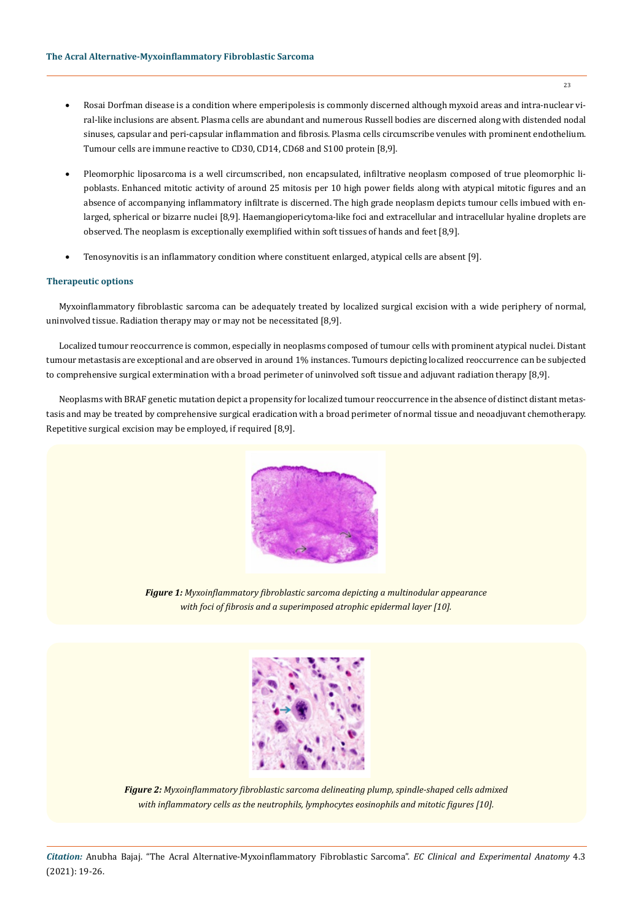- Rosai Dorfman disease is a condition where emperipolesis is commonly discerned although myxoid areas and intra-nuclear viral-like inclusions are absent. Plasma cells are abundant and numerous Russell bodies are discerned along with distended nodal sinuses, capsular and peri-capsular inflammation and fibrosis. Plasma cells circumscribe venules with prominent endothelium. Tumour cells are immune reactive to CD30, CD14, CD68 and S100 protein [8,9].
- Pleomorphic liposarcoma is a well circumscribed, non encapsulated, infiltrative neoplasm composed of true pleomorphic lipoblasts. Enhanced mitotic activity of around 25 mitosis per 10 high power fields along with atypical mitotic figures and an absence of accompanying inflammatory infiltrate is discerned. The high grade neoplasm depicts tumour cells imbued with enlarged, spherical or bizarre nuclei [8,9]. Haemangiopericytoma-like foci and extracellular and intracellular hyaline droplets are observed. The neoplasm is exceptionally exemplified within soft tissues of hands and feet [8,9].
- Tenosynovitis is an inflammatory condition where constituent enlarged, atypical cells are absent [9].

## **Therapeutic options**

Myxoinflammatory fibroblastic sarcoma can be adequately treated by localized surgical excision with a wide periphery of normal, uninvolved tissue. Radiation therapy may or may not be necessitated [8,9].

Localized tumour reoccurrence is common, especially in neoplasms composed of tumour cells with prominent atypical nuclei. Distant tumour metastasis are exceptional and are observed in around 1% instances. Tumours depicting localized reoccurrence can be subjected to comprehensive surgical extermination with a broad perimeter of uninvolved soft tissue and adjuvant radiation therapy [8,9].

Neoplasms with BRAF genetic mutation depict a propensity for localized tumour reoccurrence in the absence of distinct distant metastasis and may be treated by comprehensive surgical eradication with a broad perimeter of normal tissue and neoadjuvant chemotherapy. Repetitive surgical excision may be employed, if required [8,9].



*Figure 1: Myxoinflammatory fibroblastic sarcoma depicting a multinodular appearance with foci of fibrosis and a superimposed atrophic epidermal layer [10].* 



*Figure 2: Myxoinflammatory fibroblastic sarcoma delineating plump, spindle-shaped cells admixed with inflammatory cells as the neutrophils, lymphocytes eosinophils and mitotic figures [10].* 

*Citation:* Anubha Bajaj. "The Acral Alternative-Myxoinflammatory Fibroblastic Sarcoma". *EC Clinical and Experimental Anatomy* 4.3 (2021): 19-26.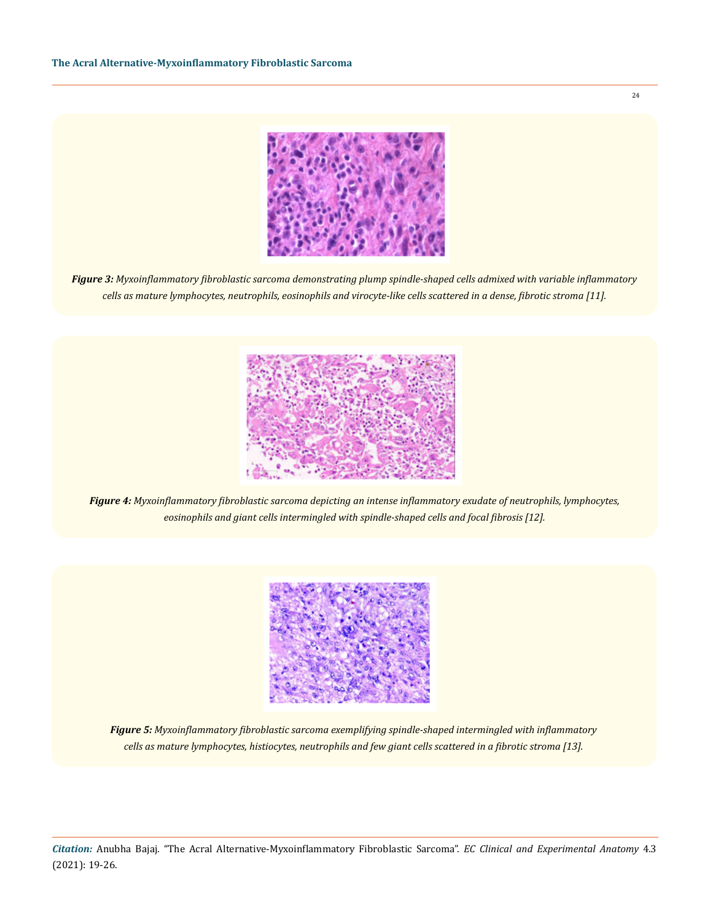

*Figure 3: Myxoinflammatory fibroblastic sarcoma demonstrating plump spindle-shaped cells admixed with variable inflammatory cells as mature lymphocytes, neutrophils, eosinophils and virocyte-like cells scattered in a dense, fibrotic stroma [11].* 



*Figure 4: Myxoinflammatory fibroblastic sarcoma depicting an intense inflammatory exudate of neutrophils, lymphocytes, eosinophils and giant cells intermingled with spindle-shaped cells and focal fibrosis [12].* 



*Figure 5: Myxoinflammatory fibroblastic sarcoma exemplifying spindle-shaped intermingled with inflammatory cells as mature lymphocytes, histiocytes, neutrophils and few giant cells scattered in a fibrotic stroma [13].* 

*Citation:* Anubha Bajaj. "The Acral Alternative-Myxoinflammatory Fibroblastic Sarcoma". *EC Clinical and Experimental Anatomy* 4.3 (2021): 19-26.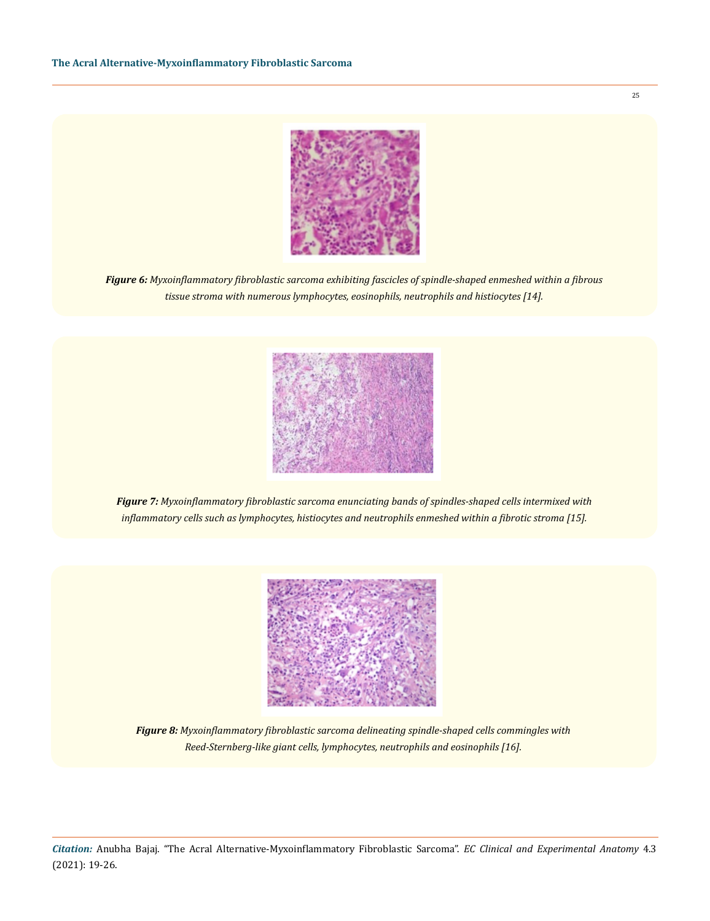

*Figure 6: Myxoinflammatory fibroblastic sarcoma exhibiting fascicles of spindle-shaped enmeshed within a fibrous tissue stroma with numerous lymphocytes, eosinophils, neutrophils and histiocytes [14].* 



*Figure 7: Myxoinflammatory fibroblastic sarcoma enunciating bands of spindles-shaped cells intermixed with inflammatory cells such as lymphocytes, histiocytes and neutrophils enmeshed within a fibrotic stroma [15].* 



*Figure 8: Myxoinflammatory fibroblastic sarcoma delineating spindle-shaped cells commingles with Reed-Sternberg-like giant cells, lymphocytes, neutrophils and eosinophils [16].*